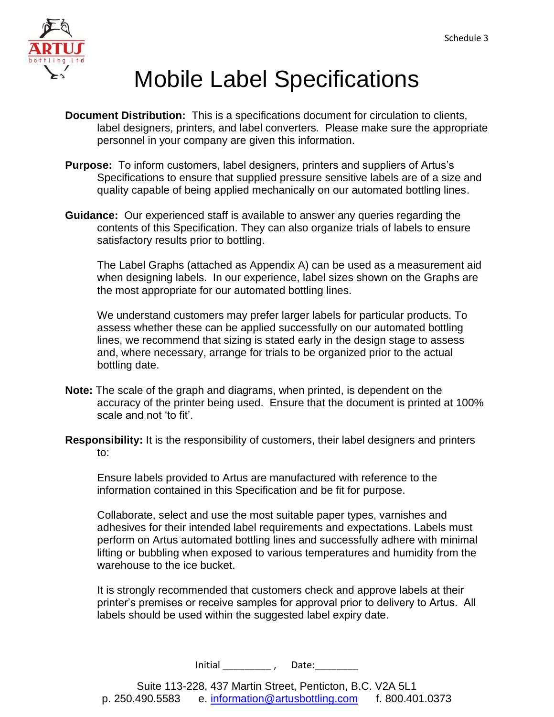

# Mobile Label Specifications

- **Document Distribution:** This is a specifications document for circulation to clients, label designers, printers, and label converters. Please make sure the appropriate personnel in your company are given this information.
- **Purpose:** To inform customers, label designers, printers and suppliers of Artus's Specifications to ensure that supplied pressure sensitive labels are of a size and quality capable of being applied mechanically on our automated bottling lines.
- **Guidance:** Our experienced staff is available to answer any queries regarding the contents of this Specification. They can also organize trials of labels to ensure satisfactory results prior to bottling.

The Label Graphs (attached as Appendix A) can be used as a measurement aid when designing labels. In our experience, label sizes shown on the Graphs are the most appropriate for our automated bottling lines.

We understand customers may prefer larger labels for particular products. To assess whether these can be applied successfully on our automated bottling lines, we recommend that sizing is stated early in the design stage to assess and, where necessary, arrange for trials to be organized prior to the actual bottling date.

- **Note:** The scale of the graph and diagrams, when printed, is dependent on the accuracy of the printer being used. Ensure that the document is printed at 100% scale and not 'to fit'.
- **Responsibility:** It is the responsibility of customers, their label designers and printers to:

Ensure labels provided to Artus are manufactured with reference to the information contained in this Specification and be fit for purpose.

Collaborate, select and use the most suitable paper types, varnishes and adhesives for their intended label requirements and expectations. Labels must perform on Artus automated bottling lines and successfully adhere with minimal lifting or bubbling when exposed to various temperatures and humidity from the warehouse to the ice bucket.

It is strongly recommended that customers check and approve labels at their printer's premises or receive samples for approval prior to delivery to Artus. All labels should be used within the suggested label expiry date.

Initial  $\qquad \qquad$  , Date: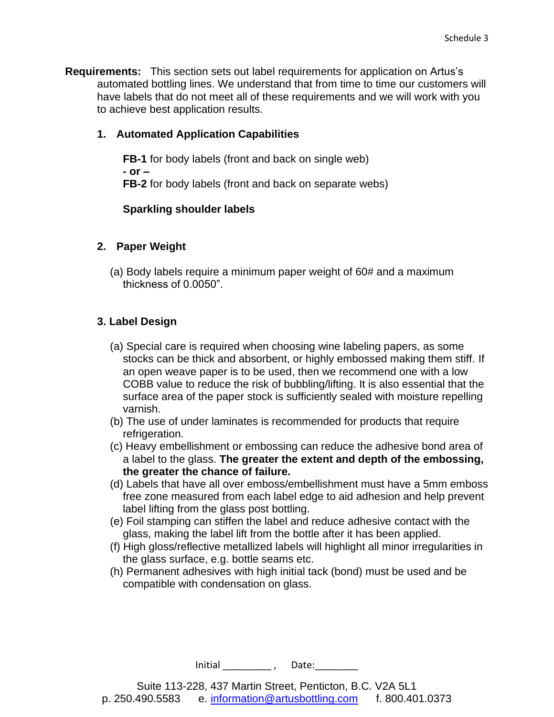**Requirements:** This section sets out label requirements for application on Artus's automated bottling lines. We understand that from time to time our customers will have labels that do not meet all of these requirements and we will work with you to achieve best application results.

#### **1. Automated Application Capabilities**

**FB-1** for body labels (front and back on single web) **- or – FB-2** for body labels (front and back on separate webs)

#### **Sparkling shoulder labels**

#### **2. Paper Weight**

(a) Body labels require a minimum paper weight of 60# and a maximum thickness of 0.0050".

#### **3. Label Design**

- (a) Special care is required when choosing wine labeling papers, as some stocks can be thick and absorbent, or highly embossed making them stiff. If an open weave paper is to be used, then we recommend one with a low COBB value to reduce the risk of bubbling/lifting. It is also essential that the surface area of the paper stock is sufficiently sealed with moisture repelling varnish.
- (b) The use of under laminates is recommended for products that require refrigeration.
- (c) Heavy embellishment or embossing can reduce the adhesive bond area of a label to the glass. **The greater the extent and depth of the embossing, the greater the chance of failure.**
- (d) Labels that have all over emboss/embellishment must have a 5mm emboss free zone measured from each label edge to aid adhesion and help prevent label lifting from the glass post bottling.
- (e) Foil stamping can stiffen the label and reduce adhesive contact with the glass, making the label lift from the bottle after it has been applied.
- (f) High gloss/reflective metallized labels will highlight all minor irregularities in the glass surface, e.g. bottle seams etc.
- (h) Permanent adhesives with high initial tack (bond) must be used and be compatible with condensation on glass.

 $Initial \qquad \qquad \_ \prime \qquad Date: \qquad \qquad$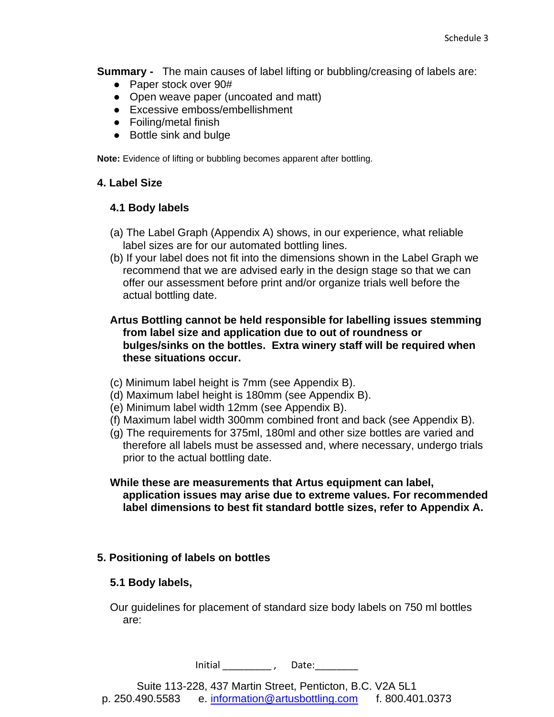**Summary -** The main causes of label lifting or bubbling/creasing of labels are:

- Paper stock over 90#
- Open weave paper (uncoated and matt)
- Excessive emboss/embellishment
- Foiling/metal finish
- Bottle sink and bulge

**Note:** Evidence of lifting or bubbling becomes apparent after bottling.

#### **4. Label Size**

#### **4.1 Body labels**

- (a) The Label Graph (Appendix A) shows, in our experience, what reliable label sizes are for our automated bottling lines.
- (b) If your label does not fit into the dimensions shown in the Label Graph we recommend that we are advised early in the design stage so that we can offer our assessment before print and/or organize trials well before the actual bottling date.

#### **Artus Bottling cannot be held responsible for labelling issues stemming from label size and application due to out of roundness or bulges/sinks on the bottles. Extra winery staff will be required when these situations occur.**

- (c) Minimum label height is 7mm (see Appendix B).
- (d) Maximum label height is 180mm (see Appendix B).
- (e) Minimum label width 12mm (see Appendix B).
- (f) Maximum label width 300mm combined front and back (see Appendix B).
- (g) The requirements for 375ml, 180ml and other size bottles are varied and therefore all labels must be assessed and, where necessary, undergo trials prior to the actual bottling date.
- **While these are measurements that Artus equipment can label, application issues may arise due to extreme values. For recommended label dimensions to best fit standard bottle sizes, refer to Appendix A.**

#### **5. Positioning of labels on bottles**

#### **5.1 Body labels,**

Our guidelines for placement of standard size body labels on 750 ml bottles are:

 $Initial \qquad \qquad \_ \prime \qquad Date: \qquad \qquad$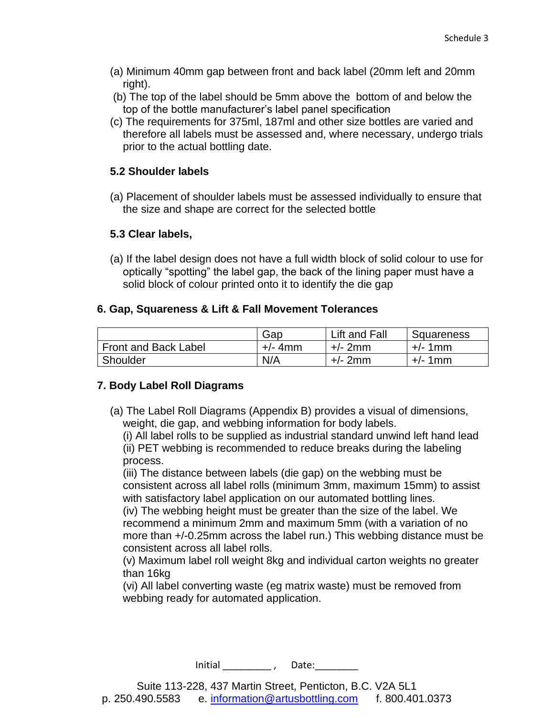- (a) Minimum 40mm gap between front and back label (20mm left and 20mm right).
- (b) The top of the label should be 5mm above the bottom of and below the top of the bottle manufacturer's label panel specification
- (c) The requirements for 375ml, 187ml and other size bottles are varied and therefore all labels must be assessed and, where necessary, undergo trials prior to the actual bottling date.

#### **5.2 Shoulder labels**

(a) Placement of shoulder labels must be assessed individually to ensure that the size and shape are correct for the selected bottle

#### **5.3 Clear labels,**

(a) If the label design does not have a full width block of solid colour to use for optically "spotting" the label gap, the back of the lining paper must have a solid block of colour printed onto it to identify the die gap

#### **6. Gap, Squareness & Lift & Fall Movement Tolerances**

|                      | Gap       | Lift and Fall | Squareness |
|----------------------|-----------|---------------|------------|
| Front and Back Label | $+/-$ 4mm | $+/- 2mm$     | $+/-$ 1mm  |
| Shoulder             | N/A       | $+/- 2mm$     | $+/-$ 1mm  |

#### **7. Body Label Roll Diagrams**

(a) The Label Roll Diagrams (Appendix B) provides a visual of dimensions, weight, die gap, and webbing information for body labels.

(i) All label rolls to be supplied as industrial standard unwind left hand lead (ii) PET webbing is recommended to reduce breaks during the labeling process.

(iii) The distance between labels (die gap) on the webbing must be consistent across all label rolls (minimum 3mm, maximum 15mm) to assist with satisfactory label application on our automated bottling lines.

(iv) The webbing height must be greater than the size of the label. We recommend a minimum 2mm and maximum 5mm (with a variation of no more than +/-0.25mm across the label run.) This webbing distance must be consistent across all label rolls.

(v) Maximum label roll weight 8kg and individual carton weights no greater than 16kg

(vi) All label converting waste (eg matrix waste) must be removed from webbing ready for automated application.

Initial  $\qquad \qquad$  , Date: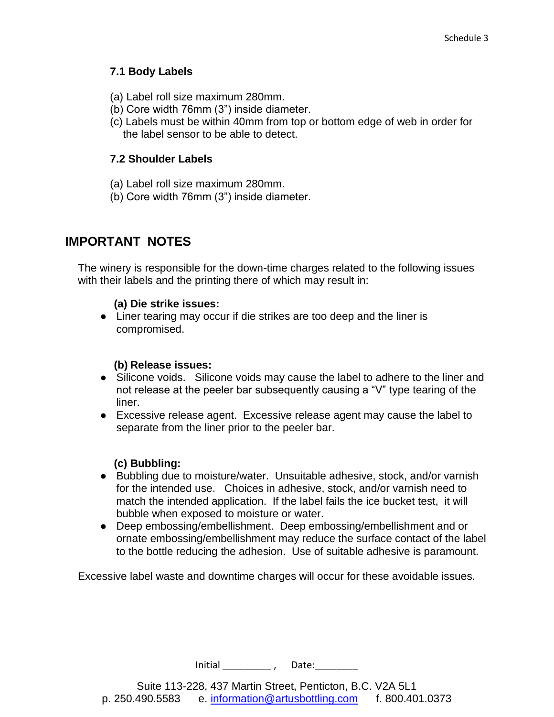#### **7.1 Body Labels**

- (a) Label roll size maximum 280mm.
- (b) Core width 76mm (3") inside diameter.
- (c) Labels must be within 40mm from top or bottom edge of web in order for the label sensor to be able to detect.

#### **7.2 Shoulder Labels**

- (a) Label roll size maximum 280mm.
- (b) Core width 76mm (3") inside diameter.

### **IMPORTANT NOTES**

The winery is responsible for the down-time charges related to the following issues with their labels and the printing there of which may result in:

#### **(a) Die strike issues:**

● Liner tearing may occur if die strikes are too deep and the liner is compromised.

#### **(b) Release issues:**

- Silicone voids. Silicone voids may cause the label to adhere to the liner and not release at the peeler bar subsequently causing a "V" type tearing of the liner.
- Excessive release agent. Excessive release agent may cause the label to separate from the liner prior to the peeler bar.

#### **(c) Bubbling:**

- Bubbling due to moisture/water. Unsuitable adhesive, stock, and/or varnish for the intended use. Choices in adhesive, stock, and/or varnish need to match the intended application. If the label fails the ice bucket test, it will bubble when exposed to moisture or water.
- Deep embossing/embellishment. Deep embossing/embellishment and or ornate embossing/embellishment may reduce the surface contact of the label to the bottle reducing the adhesion. Use of suitable adhesive is paramount.

Excessive label waste and downtime charges will occur for these avoidable issues.

Initial \_\_\_\_\_\_\_\_\_\_, Date:\_\_\_\_\_\_\_\_\_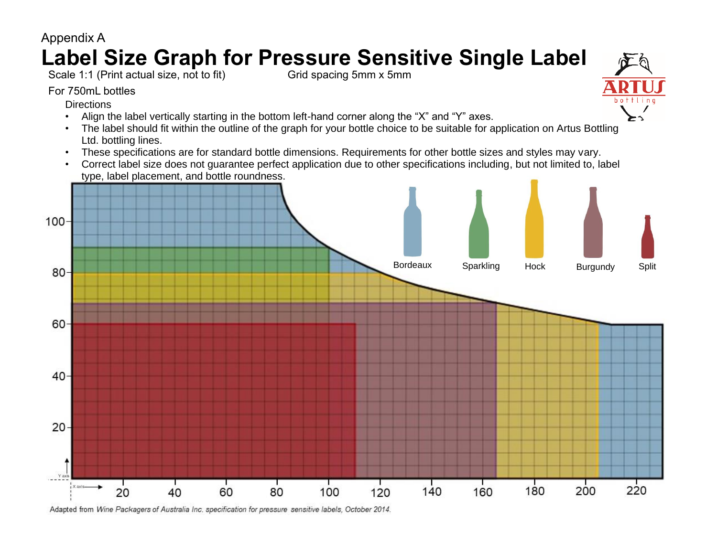

Adapted from Wine Packagers of Australia Inc. specification for pressure sensitive labels, October 2014.